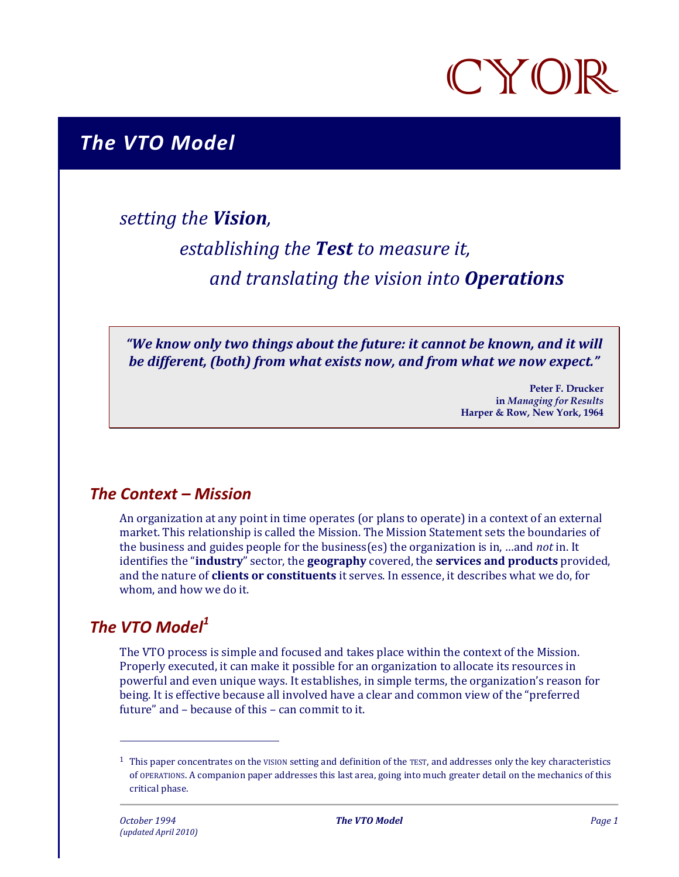

# *The VTO Model*

# *setting the Vision,*

# *establishing the Test to measure it, and translating the vision into Operations*

*"We know only two things about the future: it cannot be known, and it will be different, (both) from what exists now, and from what we now expect."* 

> **Peter F. Drucker in** *Managing for Results*  **Harper & Row, New York, 1964**

## *The Context – Mission*

An organization at any point in time operates (or plans to operate) in a context of an external market. This relationship is called the Mission. The Mission Statement sets the boundaries of the business and guides people for the business(es) the organization is in, …and *not* in. It identifies the "**industry**" sector, the **geography** covered, the **services and products** provided, and the nature of **clients or constituents** it serves. In essence, it describes what we do, for whom, and how we do it.

## *The VTO Model<sup>1</sup>*

 $\overline{a}$ 

The VTO process is simple and focused and takes place within the context of the Mission. Properly executed, it can make it possible for an organization to allocate its resources in powerful and even unique ways. It establishes, in simple terms, the organization's reason for being. It is effective because all involved have a clear and common view of the "preferred future" and – because of this – can commit to it.

 $1$  This paper concentrates on the VISION setting and definition of the TEST, and addresses only the key characteristics of OPERATIONS. A companion paper addresses this last area, going into much greater detail on the mechanics of this critical phase.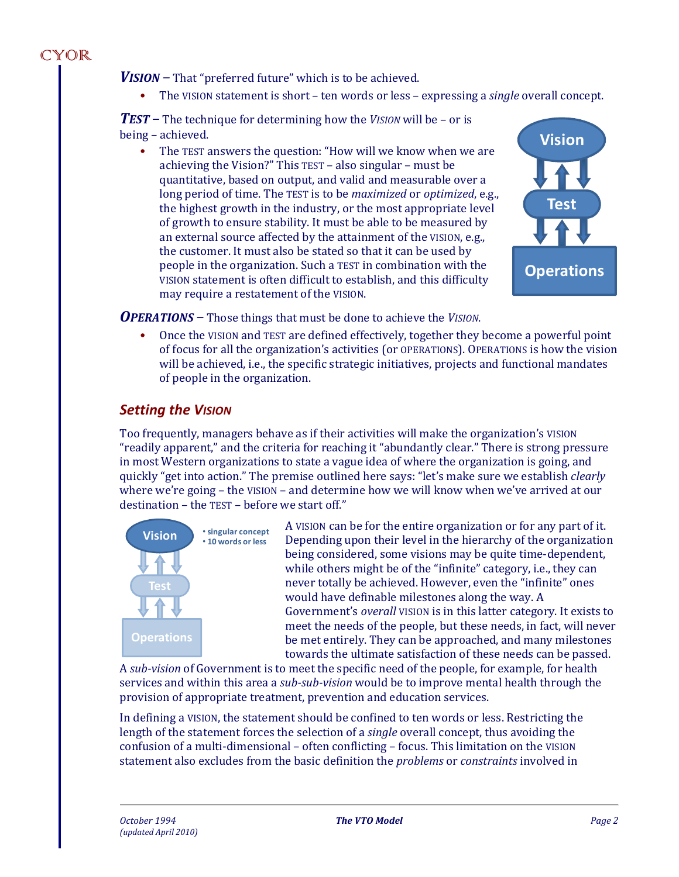*VISION –* That "preferred future" which is to be achieved.

• The VISION statement is short – ten words or less – expressing a *single* overall concept.

*TEST –* The technique for determining how the *VISION* will be – or is being – achieved.

The TEST answers the question: "How will we know when we are achieving the Vision?" This TEST – also singular – must be quantitative, based on output, and valid and measurable over a long period of time. The TEST is to be *maximized* or *optimized*, e.g., the highest growth in the industry, or the most appropriate level of growth to ensure stability. It must be able to be measured by an external source affected by the attainment of the VISION, e.g., the customer. It must also be stated so that it can be used by people in the organization. Such a TEST in combination with the VISION statement is often difficult to establish, and this difficulty may require a restatement of the VISION.



*OPERATIONS –* Those things that must be done to achieve the *VISION*.

• Once the VISION and TEST are defined effectively, together they become a powerful point of focus for all the organization's activities (or OPERATIONS). OPERATIONS is how the vision will be achieved, i.e., the specific strategic initiatives, projects and functional mandates of people in the organization.

#### *Setting the VISION*

Too frequently, managers behave as if their activities will make the organization's VISION "readily apparent," and the criteria for reaching it "abundantly clear." There is strong pressure in most Western organizations to state a vague idea of where the organization is going, and quickly "get into action." The premise outlined here says: "let's make sure we establish *clearly* where we're going – the VISION – and determine how we will know when we've arrived at our destination – the TEST – before we start off."



A VISION can be for the entire organization or for any part of it. Depending upon their level in the hierarchy of the organization being considered, some visions may be quite time-dependent, while others might be of the "infinite" category, i.e., they can never totally be achieved. However, even the "infinite" ones would have definable milestones along the way. A Government's *overall* VISION is in this latter category. It exists to meet the needs of the people, but these needs, in fact, will never be met entirely. They can be approached, and many milestones towards the ultimate satisfaction of these needs can be passed.

A *sub-vision* of Government is to meet the specific need of the people, for example, for health services and within this area a *sub-sub-vision* would be to improve mental health through the provision of appropriate treatment, prevention and education services.

In defining a VISION, the statement should be confined to ten words or less. Restricting the length of the statement forces the selection of a *single* overall concept, thus avoiding the confusion of a multi-dimensional – often conflicting – focus. This limitation on the VISION statement also excludes from the basic definition the *problems* or *constraints* involved in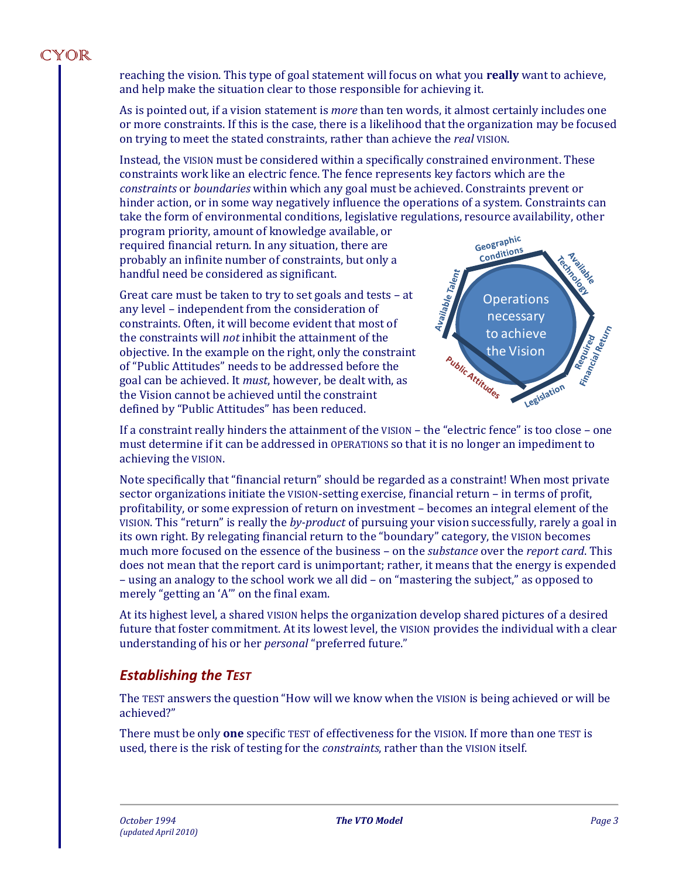reaching the vision. This type of goal statement will focus on what you **really** want to achieve, and help make the situation clear to those responsible for achieving it.

As is pointed out, if a vision statement is *more* than ten words, it almost certainly includes one or more constraints. If this is the case, there is a likelihood that the organization may be focused on trying to meet the stated constraints, rather than achieve the *real* VISION.

Instead, the VISION must be considered within a specifically constrained environment. These constraints work like an electric fence. The fence represents key factors which are the *constraints* or *boundaries* within which any goal must be achieved. Constraints prevent or hinder action, or in some way negatively influence the operations of a system. Constraints can take the form of environmental conditions, legislative regulations, resource availability, other

program priority, amount of knowledge available, or required financial return. In any situation, there are probably an infinite number of constraints, but only a handful need be considered as significant.

Great care must be taken to try to set goals and tests – at any level – independent from the consideration of constraints. Often, it will become evident that most of the constraints will *not* inhibit the attainment of the objective. In the example on the right, only the constraint of "Public Attitudes" needs to be addressed before the goal can be achieved. It *must*, however, be dealt with, as the Vision cannot be achieved until the constraint defined by "Public Attitudes" has been reduced.



If a constraint really hinders the attainment of the VISION – the "electric fence" is too close – one must determine if it can be addressed in OPERATIONS so that it is no longer an impediment to achieving the VISION.

Note specifically that "financial return" should be regarded as a constraint! When most private sector organizations initiate the VISION-setting exercise, financial return – in terms of profit, profitability, or some expression of return on investment – becomes an integral element of the VISION. This "return" is really the *by-product* of pursuing your vision successfully, rarely a goal in its own right. By relegating financial return to the "boundary" category, the VISION becomes much more focused on the essence of the business – on the *substance* over the *report card*. This does not mean that the report card is unimportant; rather, it means that the energy is expended – using an analogy to the school work we all did – on "mastering the subject," as opposed to merely "getting an 'A'" on the final exam.

At its highest level, a shared VISION helps the organization develop shared pictures of a desired future that foster commitment. At its lowest level, the VISION provides the individual with a clear understanding of his or her *personal* "preferred future."

## *Establishing the TEST*

The TEST answers the question "How will we know when the VISION is being achieved or will be achieved?"

There must be only **one** specific TEST of effectiveness for the VISION. If more than one TEST is used, there is the risk of testing for the *constraints*, rather than the VISION itself.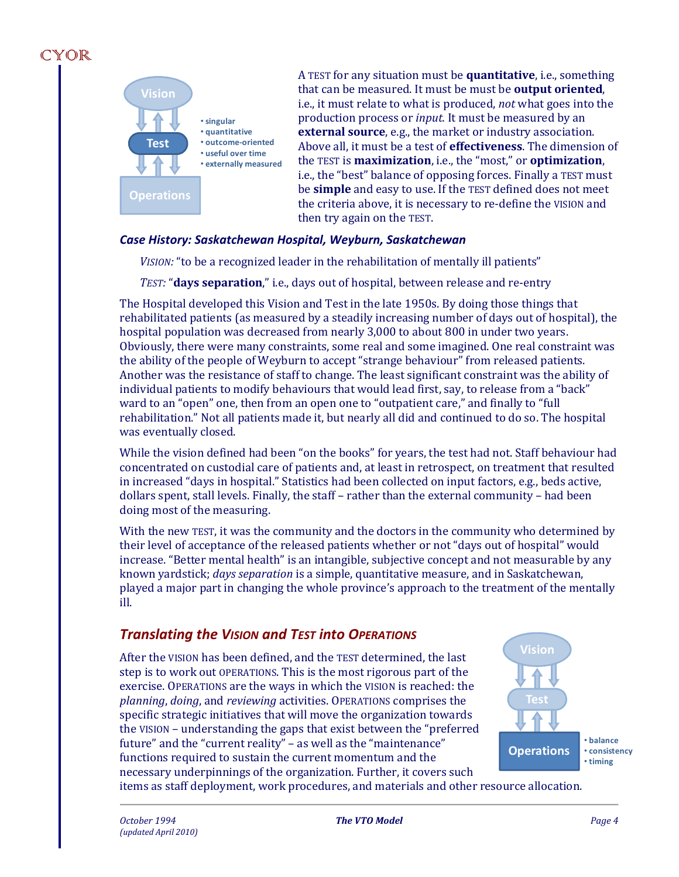

A TEST for any situation must be **quantitative**, i.e., something that can be measured. It must be must be **output oriented**, i.e., it must relate to what is produced, *not* what goes into the production process or *input.* It must be measured by an **external source**, e.g., the market or industry association. Above all, it must be a test of **effectiveness**. The dimension of the TEST is **maximization**, i.e., the "most," or **optimization**, i.e., the "best" balance of opposing forces. Finally a TEST must be **simple** and easy to use. If the TEST defined does not meet the criteria above, it is necessary to re-define the VISION and then try again on the TEST.

#### *Case History: Saskatchewan Hospital, Weyburn, Saskatchewan*

*VISION:* "to be a recognized leader in the rehabilitation of mentally ill patients"

*TEST:* "**days separation**," i.e., days out of hospital, between release and re-entry

The Hospital developed this Vision and Test in the late 1950s. By doing those things that rehabilitated patients (as measured by a steadily increasing number of days out of hospital), the hospital population was decreased from nearly 3,000 to about 800 in under two years. Obviously, there were many constraints, some real and some imagined. One real constraint was the ability of the people of Weyburn to accept "strange behaviour" from released patients. Another was the resistance of staff to change. The least significant constraint was the ability of individual patients to modify behaviours that would lead first, say, to release from a "back" ward to an "open" one, then from an open one to "outpatient care," and finally to "full rehabilitation." Not all patients made it, but nearly all did and continued to do so. The hospital was eventually closed.

While the vision defined had been "on the books" for years, the test had not. Staff behaviour had concentrated on custodial care of patients and, at least in retrospect, on treatment that resulted in increased "days in hospital." Statistics had been collected on input factors, e.g., beds active, dollars spent, stall levels. Finally, the staff – rather than the external community – had been doing most of the measuring.

With the new TEST, it was the community and the doctors in the community who determined by their level of acceptance of the released patients whether or not "days out of hospital" would increase. "Better mental health" is an intangible, subjective concept and not measurable by any known yardstick; *days separation* is a simple, quantitative measure, and in Saskatchewan, played a major part in changing the whole province's approach to the treatment of the mentally ill.

## *Translating the VISION and TEST into OPERATIONS*

After the VISION has been defined, and the TEST determined, the last step is to work out OPERATIONS. This is the most rigorous part of the exercise. OPERATIONS are the ways in which the VISION is reached: the *planning*, *doing*, and *reviewing* activities. OPERATIONS comprises the specific strategic initiatives that will move the organization towards the VISION – understanding the gaps that exist between the "preferred future" and the "current reality" – as well as the "maintenance" functions required to sustain the current momentum and the necessary underpinnings of the organization. Further, it covers such



items as staff deployment, work procedures, and materials and other resource allocation.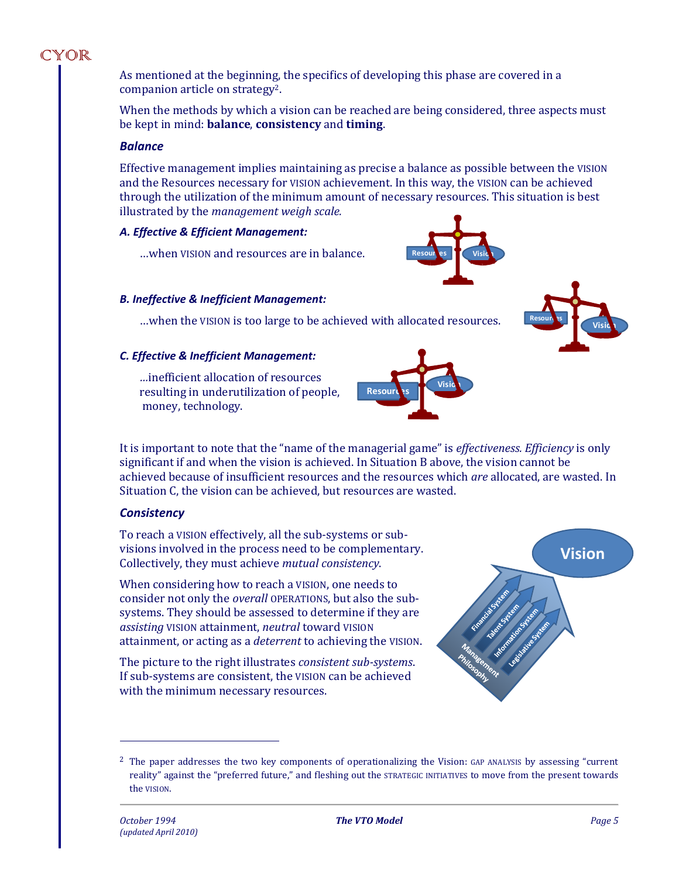As mentioned at the beginning, the specifics of developing this phase are covered in a companion article on strategy2.

When the methods by which a vision can be reached are being considered, three aspects must be kept in mind: **balance**, **consistency** and **timing**.

#### *Balance*

Effective management implies maintaining as precise a balance as possible between the VISION and the Resources necessary for VISION achievement. In this way, the VISION can be achieved through the utilization of the minimum amount of necessary resources. This situation is best illustrated by the *management weigh scale.* 

#### *A. Effective & Efficient Management:*

…when VISION and resources are in balance.

#### *B. Ineffective & Inefficient Management:*

…when the VISION is too large to be achieved with allocated resources.

#### *C. Effective & Inefficient Management:*

*…*inefficient allocation of resources resulting in underutilization of people, money, technology.

It is important to note that the "name of the managerial game" is *effectiveness. Efficiency* is only significant if and when the vision is achieved. In Situation B above, the vision cannot be achieved because of insufficient resources and the resources which *are* allocated, are wasted. In Situation C, the vision can be achieved, but resources are wasted.

#### *Consistency*

To reach a VISION effectively, all the sub-systems or subvisions involved in the process need to be complementary. Collectively, they must achieve *mutual consistency*.

When considering how to reach a VISION, one needs to consider not only the *overall* OPERATIONS, but also the subsystems. They should be assessed to determine if they are *assisting* VISION attainment, *neutral* toward VISION attainment, or acting as a *deterrent* to achieving the VISION.

The picture to the right illustrates *consistent sub-systems*. If sub-systems are consistent, the VISION can be achieved with the minimum necessary resources.

 $\overline{a}$ 









**Resoures C** Vision

<sup>2</sup> The paper addresses the two key components of operationalizing the Vision: GAP ANALYSIS by assessing "current reality" against the "preferred future," and fleshing out the STRATEGIC INITIATIVES to move from the present towards the VISION.